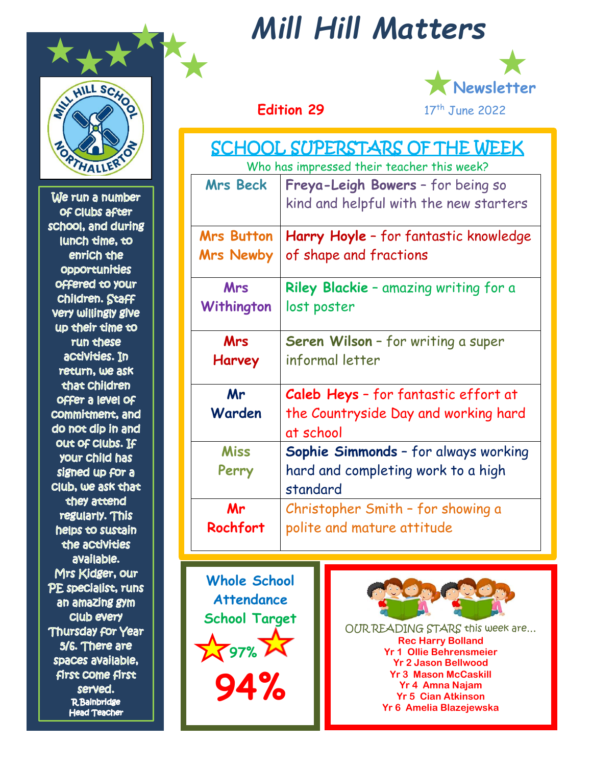

We run a number of Clubs after school, and during lunch time, to enrich the **Opportunities** offered to your **Children. Staff Very willingly give** up their time to run chese activities. In return, we ask that Children **Offer a level Of** commitment, and do not dip in and out of Clubs. If your child has signed up for a Club, we ask that they attend regularly. This helps to sustain the activities available. Mrs Kidger, our PE specialist, runs an amazing gym Club every Thursday for Year 5/6. There are spaces available, **first Come first** served. **R**Bainbridge **Head Teacher** 

## *Mill Hill Matters*



## **Edition** 29

| SCHOOL SUPERSTARS OF THE WEEK<br>Who has impressed their teacher this week? |                                                                             |
|-----------------------------------------------------------------------------|-----------------------------------------------------------------------------|
| <b>Mrs Beck</b>                                                             | Freya-Leigh Bowers - for being so<br>kind and helpful with the new starters |
| <b>Mrs Button</b><br><b>Mrs Newby</b>                                       | Harry Hoyle - for fantastic knowledge<br>of shape and fractions             |
| <b>Mrs</b><br>Withington                                                    | Riley Blackie - amazing writing for a<br>lost poster                        |
| <b>Mrs</b><br><b>Harvey</b>                                                 | Seren Wilson - for writing a super<br>informal letter                       |
| Mr                                                                          | Caleb Heys - for fantastic effort at                                        |
| Warden                                                                      | the Countryside Day and working hard<br>at school                           |
| <b>Miss</b>                                                                 | Sophie Simmonds - for always working                                        |
| Perry                                                                       | hard and completing work to a high                                          |
|                                                                             | standard                                                                    |
| Mr                                                                          | Christopher Smith - for showing a                                           |
| Rochfort                                                                    | polite and mature attitude                                                  |

**Whole School Attendance School Target**  $\sqrt{97\% \ \mathcal{M}}$ **94%**



OUR READING STARS this week are… **Rec Harry Bolland Yr 1 Ollie Behrensmeier Yr 2 Jason Bellwood Yr 3 Mason McCaskill Yr 4 Amna Najam Yr 5 Cian Atkinson Yr 6 Amelia Blazejewska**